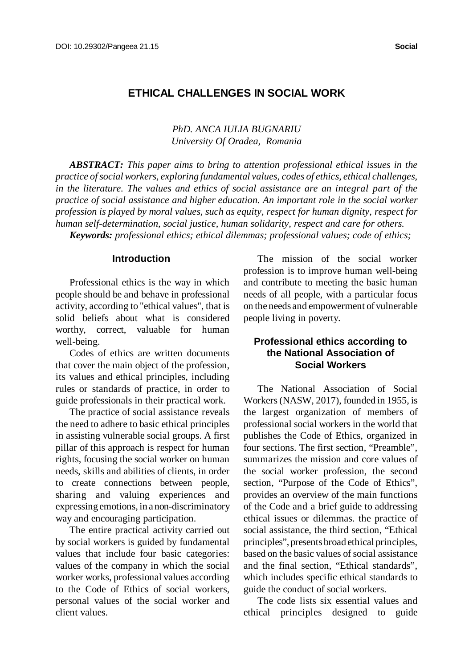# **ETHICAL CHALLENGES IN SOCIAL WORK**

*PhD. ANCA IULIA BUGNARIU University Of Oradea, Romania*

*ABSTRACT: This paper aims to bring to attention professional ethical issues in the practice ofsocial workers, exploring fundamental values, codes of ethics, ethical challenges, in the literature. The values and ethics of social assistance are an integral part of the practice of social assistance and higher education. An important role in the social worker profession is played by moral values, such as equity, respect for human dignity, respect for human self-determination, social justice, human solidarity, respect and care for others. Keywords: professional ethics; ethical dilemmas; professional values; code of ethics;*

#### **Introduction**

Professional ethics is the way in which people should be and behave in professional activity, according to "ethical values", that is solid beliefs about what is considered worthy, correct, valuable for human well-being.

Codes of ethics are written documents that cover the main object of the profession, its values and ethical principles, including rules or standards of practice, in order to guide professionals in their practical work.

The practice of social assistance reveals the need to adhere to basic ethical principles in assisting vulnerable social groups. A first pillar of this approach is respect for human rights, focusing the social worker on human needs, skills and abilities of clients, in order to create connections between people, sharing and valuing experiences and expressing emotions, in a non-discriminatory way and encouraging participation.

The entire practical activity carried out by social workers is guided by fundamental values that include four basic categories: values of the company in which the social worker works, professional values according to the Code of Ethics of social workers, personal values of the social worker and client values.

The mission of the social worker profession is to improve human well-being and contribute to meeting the basic human needs of all people, with a particular focus on the needs and empowerment of vulnerable people living in poverty.

### **Professional ethics according to the National Association of Social Workers**

The National Association of Social Workers(NASW, 2017), founded in 1955, is the largest organization of members of professional social workers in the world that publishes the Code of Ethics, organized in four sections. The first section, "Preamble", summarizes the mission and core values of the social worker profession, the second section, "Purpose of the Code of Ethics", provides an overview of the main functions of the Code and a brief guide to addressing ethical issues or dilemmas. the practice of social assistance, the third section, "Ethical principles", presents broad ethical principles, based on the basic values of social assistance and the final section, "Ethical standards", which includes specific ethical standards to guide the conduct of social workers.

The code lists six essential values and ethical principles designed to guide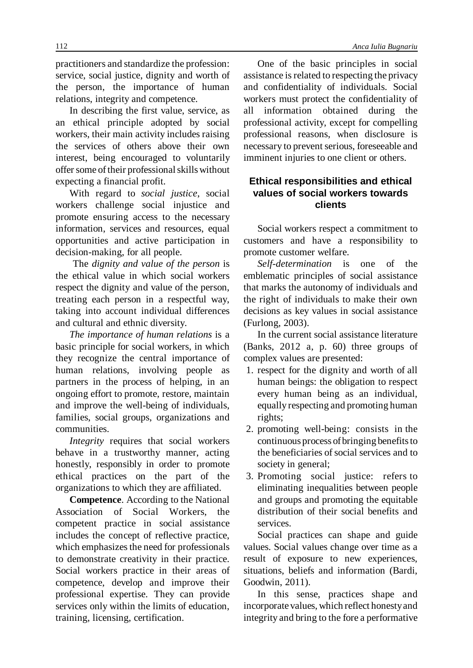practitioners and standardize the profession: service, social justice, dignity and worth of the person, the importance of human relations, integrity and competence.

In describing the first value, service, as an ethical principle adopted by social workers, their main activity includes raising the services of others above their own interest, being encouraged to voluntarily offer some of their professional skills without expecting a financial profit.

With regard to *social justice*, social workers challenge social injustice and promote ensuring access to the necessary information, services and resources, equal opportunities and active participation in decision-making, for all people.

The *dignity and value of the person* is the ethical value in which social workers respect the dignity and value of the person, treating each person in a respectful way, taking into account individual differences and cultural and ethnic diversity.

*The importance of human relations* is a basic principle for social workers, in which they recognize the central importance of human relations, involving people as partners in the process of helping, in an ongoing effort to promote, restore, maintain and improve the well-being of individuals, families, social groups, organizations and communities.

*Integrity* requires that social workers behave in a trustworthy manner, acting honestly, responsibly in order to promote ethical practices on the part of the organizations to which they are affiliated.

**Competence**. According to the National Association of Social Workers, the competent practice in social assistance includes the concept of reflective practice, which emphasizes the need for professionals to demonstrate creativity in their practice. Social workers practice in their areas of competence, develop and improve their professional expertise. They can provide services only within the limits of education, training, licensing, certification.

One of the basic principles in social assistance is related to respecting the privacy and confidentiality of individuals. Social workers must protect the confidentiality of all information obtained during the professional activity, except for compelling professional reasons, when disclosure is necessary to prevent serious, foreseeable and imminent injuries to one client or others.

## **Ethical responsibilities and ethical values of social workers towards clients**

Social workers respect a commitment to customers and have a responsibility to promote customer welfare.

*Self-determination* is one of the emblematic principles of social assistance that marks the autonomy of individuals and the right of individuals to make their own decisions as key values in social assistance (Furlong, 2003).

In the current social assistance literature (Banks, 2012 a, p. 60) three groups of complex values are presented:

- 1. respect for the dignity and worth of all human beings: the obligation to respect every human being as an individual, equally respecting and promoting human rights;
- 2. promoting well-being: consists in the continuous process ofbringing benefitsto the beneficiaries of social services and to society in general;
- 3. Promoting social justice: refers to eliminating inequalities between people and groups and promoting the equitable distribution of their social benefits and services.

Social practices can shape and guide values. Social values change over time as a result of exposure to new experiences, situations, beliefs and information (Bardi, Goodwin, 2011).

In this sense, practices shape and incorporate values, which reflect honestyand integrity and bring to the fore a performative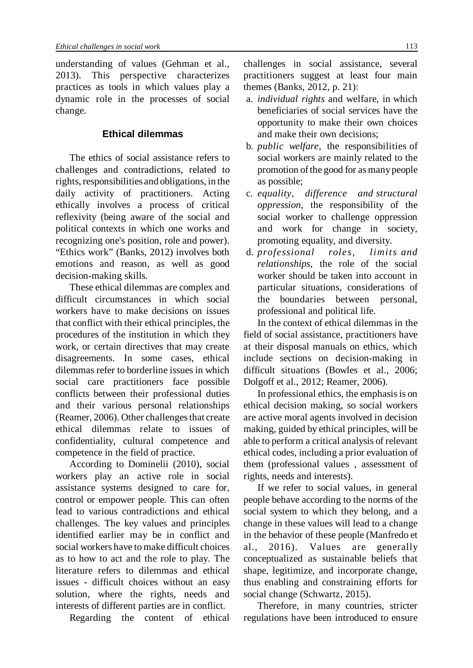understanding of values (Gehman et al., 2013). This perspective characterizes practices as tools in which values play a dynamic role in the processes of social change.

### **Ethical dilemmas**

The ethics of social assistance refers to challenges and contradictions, related to rights, responsibilities and obligations, in the daily activity of practitioners. Acting ethically involves a process of critical reflexivity (being aware of the social and political contexts in which one works and recognizing one's position, role and power). "Ethics work" (Banks, 2012) involves both emotions and reason, as well as good decision-making skills.

These ethical dilemmas are complex and difficult circumstances in which social workers have to make decisions on issues that conflict with their ethical principles, the procedures of the institution in which they work, or certain directives that may create disagreements. In some cases, ethical dilemmas refer to borderline issues in which social care practitioners face possible conflicts between their professional duties and their various personal relationships (Reamer, 2006). Other challenges that create ethical dilemmas relate to issues of confidentiality, cultural competence and competence in the field of practice.

According to Dominelii (2010), social workers play an active role in social assistance systems designed to care for, control or empower people. This can often lead to various contradictions and ethical challenges. The key values and principles identified earlier may be in conflict and social workers have to make difficult choices as to how to act and the role to play. The literature refers to dilemmas and ethical issues - difficult choices without an easy solution, where the rights, needs and interests of different parties are in conflict.

Regarding the content of ethical

challenges in social assistance, several practitioners suggest at least four main themes (Banks, 2012, p. 21):

- a. *individual rights* and welfare, in which beneficiaries of social services have the opportunity to make their own choices and make their own decisions;
- b. *public welfare*, the responsibilities of social workers are mainly related to the promotion of the good for as many people as possible;
- c. *equality, difference and structural oppression*, the responsibility of the social worker to challenge oppression and work for change in society, promoting equality, and diversity.
- d. *professional roles, limits and relationships*, the role of the social worker should be taken into account in particular situations, considerations of the boundaries between personal, professional and political life.

In the context of ethical dilemmas in the field of social assistance, practitioners have at their disposal manuals on ethics, which include sections on decision-making in difficult situations (Bowles et al., 2006; Dolgoff et al., 2012; Reamer, 2006).

In professional ethics, the emphasis is on ethical decision making, so social workers are active moral agents involved in decision making, guided by ethical principles, will be able to perform a critical analysis of relevant ethical codes, including a prior evaluation of them (professional values , assessment of rights, needs and interests).

If we refer to social values, in general people behave according to the norms of the social system to which they belong, and a change in these values will lead to a change in the behavior of these people (Manfredo et al., 2016). Values are generally conceptualized as sustainable beliefs that shape, legitimize, and incorporate change, thus enabling and constraining efforts for social change (Schwartz, 2015).

Therefore, in many countries, stricter regulations have been introduced to ensure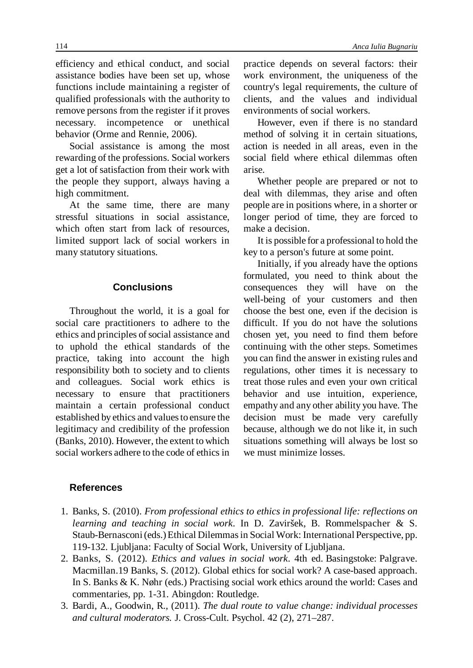efficiency and ethical conduct, and social assistance bodies have been set up, whose functions include maintaining a register of qualified professionals with the authority to remove persons from the register if it proves necessary. incompetence or unethical behavior (Orme and Rennie, 2006).

Social assistance is among the most rewarding of the professions. Social workers get a lot of satisfaction from their work with the people they support, always having a high commitment.

At the same time, there are many stressful situations in social assistance, which often start from lack of resources, limited support lack of social workers in many statutory situations.

### **Conclusions**

Throughout the world, it is a goal for social care practitioners to adhere to the ethics and principles of social assistance and to uphold the ethical standards of the practice, taking into account the high responsibility both to society and to clients and colleagues. Social work ethics is necessary to ensure that practitioners maintain a certain professional conduct established by ethics and values to ensure the legitimacy and credibility of the profession (Banks, 2010). However, the extent to which social workers adhere to the code of ethics in

#### **References**

- 1. Banks, S. (2010). *From professional ethics to ethics in professional life: reflections on learning and teaching in social work*. In D. Zaviršek, B. Rommelspacher & S. Staub-Bernasconi(eds.)Ethical Dilemmasin Social Work: International Perspective, pp. 119-132. Ljubljana: Faculty of Social Work, University of Ljubljana.
- 2. Banks, S. (2012). *Ethics and values in social work*. 4th ed. Basingstoke: Palgrave. Macmillan.19 Banks, S. (2012). Global ethics for social work? A case-based approach. In S. Banks & K. Nøhr (eds.) Practising social work ethics around the world: Cases and commentaries, pp. 1-31. Abingdon: Routledge.
- 3. Bardi, A., Goodwin, R., (2011). *The dual route to value change: individual processes and cultural moderators.* J. Cross-Cult. Psychol. 42 (2), 271–287.

practice depends on several factors: their work environment, the uniqueness of the country's legal requirements, the culture of clients, and the values and individual environments of social workers.

However, even if there is no standard method of solving it in certain situations, action is needed in all areas, even in the social field where ethical dilemmas often arise.

Whether people are prepared or not to deal with dilemmas, they arise and often people are in positions where, in a shorter or longer period of time, they are forced to make a decision.

It is possible for a professional to hold the key to a person's future at some point.

Initially, if you already have the options formulated, you need to think about the consequences they will have on the well-being of your customers and then choose the best one, even if the decision is difficult. If you do not have the solutions chosen yet, you need to find them before continuing with the other steps. Sometimes you can find the answer in existing rules and regulations, other times it is necessary to treat those rules and even your own critical behavior and use intuition, experience, empathy and any other ability you have. The decision must be made very carefully because, although we do not like it, in such situations something will always be lost so we must minimize losses.